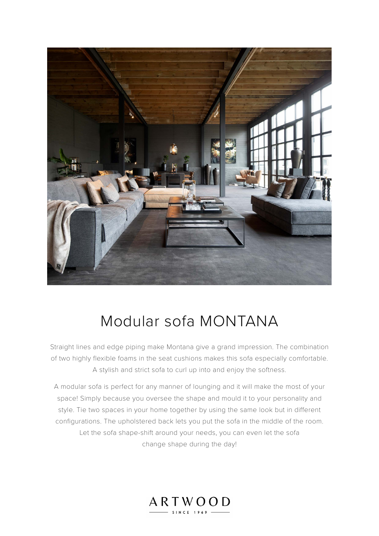

# Modular sofa MONTANA

Straight lines and edge piping make Montana give a grand impression. The combination of two highly flexible foams in the seat cushions makes this sofa especially comfortable. A stylish and strict sofa to curl up into and enjoy the softness.

A modular sofa is perfect for any manner of lounging and it will make the most of your space! Simply because you oversee the shape and mould it to your personality and style. Tie two spaces in your home together by using the same look but in different configurations. The upholstered back lets you put the sofa in the middle of the room. Let the sofa shape-shift around your needs, you can even let the sofa change shape during the day!